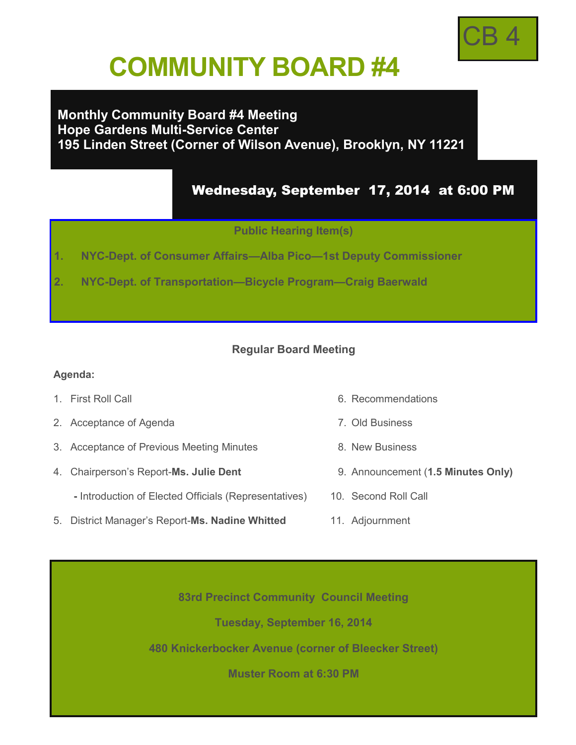

# **COMMUNITY BOARD #4**

## **Monthly Community Board #4 Meeting Hope Gardens Multi-Service Center 195 Linden Street (Corner of Wilson Avenue), Brooklyn, NY 11221**

# Wednesday, September 17, 2014 at 6:00 PM

**Public Hearing Item(s)** 

- **1. NYC-Dept. of Consumer Affairs—Alba Pico—1st Deputy Commissioner**
- **2. NYC-Dept. of Transportation—Bicycle Program—Craig Baerwald**

#### **Regular Board Meeting**

#### **Agenda:**

- 
- 2. Acceptance of Agenda 7. Old Business
- 3. Acceptance of Previous Meeting Minutes 8. New Business
- 4. Chairperson's Report-**Ms. Julie Dent** 9. Announcement (**1.5 Minutes Only)**
	- **-** Introduction of Elected Officials (Representatives) 10. Second Roll Call
- 5. District Manager's Report-**Ms. Nadine Whitted** 11. Adjournment
- 1. First Roll Call 6. Recommendations
	-
	-
	-
	-
	-

**83rd Precinct Community Council Meeting**

**Tuesday, September 16, 2014** 

**480 Knickerbocker Avenue (corner of Bleecker Street)**

**Muster Room at 6:30 PM**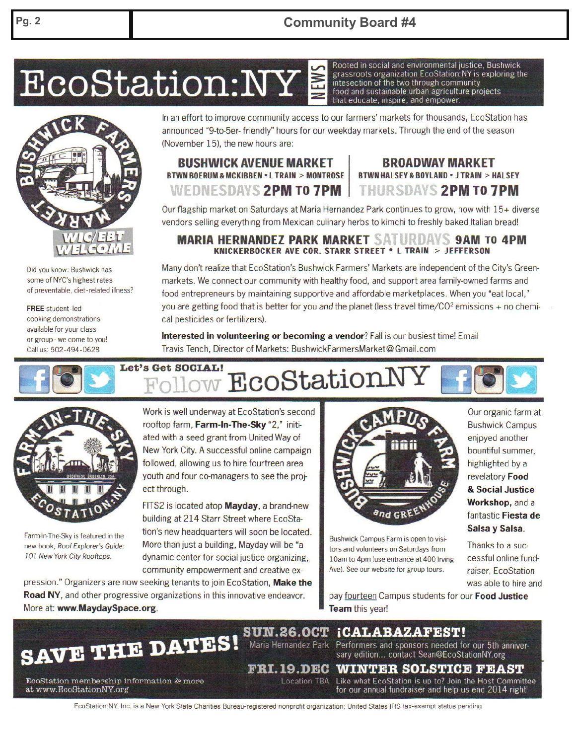EcoStation:NY

Did you know: Bushwick has some of NYC's highest rates of preventable, diet-related illness?

**FREE** student-led cooking demonstrations available for your class or group - we come to you! Call us: 502-494-0628

In an effort to improve community access to our farmers' markets for thousands, EcoStation has announced "9-to-5er- friendly" hours for our weekday markets. Through the end of the season (November 15), the new hours are:

#### **BUSHWICK AVENUE MARKET BTWN BOERUM & MCKIBBEN . L TRAIN > MONTROSE** WEDNESDAYS 2PM TO 7PM

### **BROADWAY MARKET BTWN HALSEY & BOYLAND . J TRAIN > HALSEY** THURSDAYS 2PM TO 7PM

Rooted in social and environmental justice. Bushwick

intesection of the two through community food and sustainable urban agriculture projects

that educate, inspire, and empower.

grassroots organization EcoStation:NY is exploring the

Our flagship market on Saturdays at Maria Hernandez Park continues to grow, now with 15+ diverse vendors selling everything from Mexican culinary herbs to kimchi to freshly baked Italian bread!

#### **MARIA HERNANDEZ PARK MARKET SATURDAYS 9AM TO 4PM** KNICKERBOCKER AVE COR. STARR STREET . L TRAIN > JEFFERSON

Many don't realize that EcoStation's Bushwick Farmers' Markets are independent of the City's Greenmarkets. We connect our community with healthy food, and support area family-owned farms and food entrepreneurs by maintaining supportive and affordable marketplaces. When you "eat local," you are getting food that is better for you and the planet (less travel time/ $CO<sup>2</sup>$  emissions + no chemical pesticides or fertilizers).

Interested in volunteering or becoming a vendor? Fall is our busiest time! Email Travis Tench, Director of Markets: BushwickFarmersMarket@Gmail.com

# Let's Get SOCIAL! EcoStationN



Farm-In-The-Sky is featured in the new book, Roof Explorer's Guide: 101 New York City Rooftops.

Work is well underway at EcoStation's second rooftop farm, Farm-In-The-Sky "2," initiated with a seed grant from United Way of New York City. A successful online campaign followed, allowing us to hire fourtreen area youth and four co-managers to see the project through.

FITS2 is located atop **Mayday**, a brand-new building at 214 Starr Street where EcoStation's new headquarters will soon be located. More than just a building, Mayday will be "a dynamic center for social justice organizing, community empowerment and creative ex-

pression." Organizers are now seeking tenants to join EcoStation, Make the Road NY, and other progressive organizations in this innovative endeavor. More at: www.MaydaySpace.org.



Bushwick Campus Farm is open to visitors and volunteers on Saturdays from 10am to 4pm (use entrance at 400 Irving Ave). See our website for group tours.

Our organic farm at **Bushwick Campus** enjpyed another bountiful summer, highlighted by a revelatory Food & Social Justice Workshop, and a fantastic Fiesta de Salsa y Salsa.

Thanks to a successful online fundraiser, EcoStation was able to hire and

pay fourteen Campus students for our Food Justice **Team this year!** 



**SUN.26.0CT** iCALABAZAFEST! Maria Hernandez Park

Performers and sponsors needed for our 5th anniversary edition... contact Sean@EcoStationNY.org

#### FRI.19.DEC **WINTER SOLSTICE FEAST** Location TBA

EcoStation membership information & more at www.EcoStationNY.org

Like what EcoStation is up to? Join the Host Committee for our annual fundraiser and help us end 2014 right!

EcoStation:NY, Inc. is a New York State Charities Bureau-registered nonprofit organization: United States IRS tax-exempt status pending